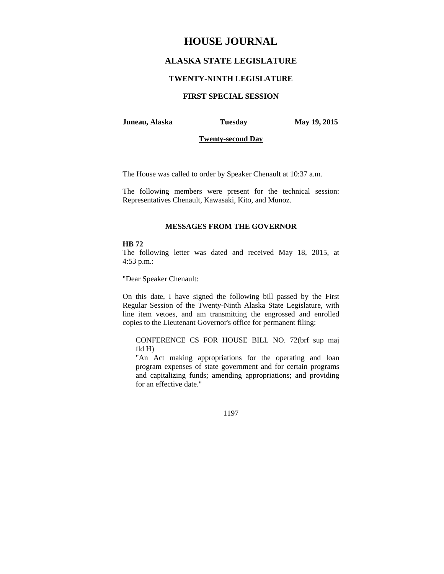# **HOUSE JOURNAL**

## **ALASKA STATE LEGISLATURE**

### **TWENTY-NINTH LEGISLATURE**

## **FIRST SPECIAL SESSION**

#### **Juneau, Alaska Tuesday May 19, 2015**

### **Twenty-second Day**

The House was called to order by Speaker Chenault at 10:37 a.m.

The following members were present for the technical session: Representatives Chenault, Kawasaki, Kito, and Munoz.

#### **MESSAGES FROM THE GOVERNOR**

#### **HB 72**

The following letter was dated and received May 18, 2015, at 4:53 p.m.:

"Dear Speaker Chenault:

On this date, I have signed the following bill passed by the First Regular Session of the Twenty-Ninth Alaska State Legislature, with line item vetoes, and am transmitting the engrossed and enrolled copies to the Lieutenant Governor's office for permanent filing:

CONFERENCE CS FOR HOUSE BILL NO. 72(brf sup maj fld H)

"An Act making appropriations for the operating and loan program expenses of state government and for certain programs and capitalizing funds; amending appropriations; and providing for an effective date."

1197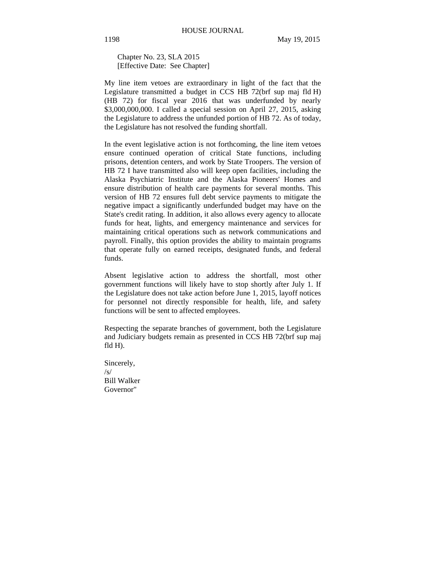Chapter No. 23, SLA 2015 [Effective Date: See Chapter]

My line item vetoes are extraordinary in light of the fact that the Legislature transmitted a budget in CCS HB 72(brf sup maj fld H) (HB 72) for fiscal year 2016 that was underfunded by nearly \$3,000,000,000. I called a special session on April 27, 2015, asking the Legislature to address the unfunded portion of HB 72. As of today, the Legislature has not resolved the funding shortfall.

In the event legislative action is not forthcoming, the line item vetoes ensure continued operation of critical State functions, including prisons, detention centers, and work by State Troopers. The version of HB 72 I have transmitted also will keep open facilities, including the Alaska Psychiatric Institute and the Alaska Pioneers' Homes and ensure distribution of health care payments for several months. This version of HB 72 ensures full debt service payments to mitigate the negative impact a significantly underfunded budget may have on the State's credit rating. In addition, it also allows every agency to allocate funds for heat, lights, and emergency maintenance and services for maintaining critical operations such as network communications and payroll. Finally, this option provides the ability to maintain programs that operate fully on earned receipts, designated funds, and federal funds.

Absent legislative action to address the shortfall, most other government functions will likely have to stop shortly after July 1. If the Legislature does not take action before June 1, 2015, layoff notices for personnel not directly responsible for health, life, and safety functions will be sent to affected employees.

Respecting the separate branches of government, both the Legislature and Judiciary budgets remain as presented in CCS HB 72(brf sup maj fld H).

Sincerely, /s/ Bill Walker Governor"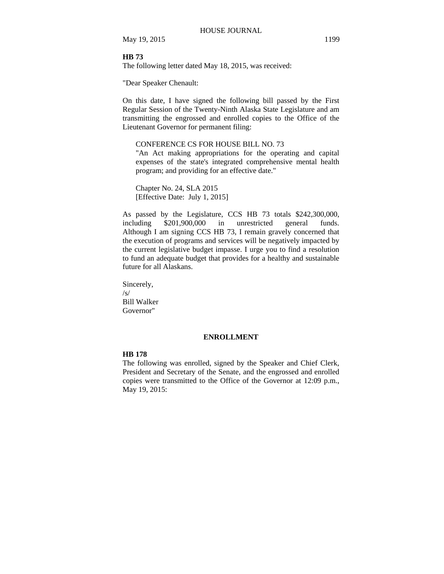May 19, 2015 1199

### **HB 73**

The following letter dated May 18, 2015, was received:

"Dear Speaker Chenault:

On this date, I have signed the following bill passed by the First Regular Session of the Twenty-Ninth Alaska State Legislature and am transmitting the engrossed and enrolled copies to the Office of the Lieutenant Governor for permanent filing:

## CONFERENCE CS FOR HOUSE BILL NO. 73

"An Act making appropriations for the operating and capital expenses of the state's integrated comprehensive mental health program; and providing for an effective date."

Chapter No. 24, SLA 2015 [Effective Date: July 1, 2015]

As passed by the Legislature, CCS HB 73 totals \$242,300,000, including \$201,900,000 in unrestricted general funds. Although I am signing CCS HB 73, I remain gravely concerned that the execution of programs and services will be negatively impacted by the current legislative budget impasse. I urge you to find a resolution to fund an adequate budget that provides for a healthy and sustainable future for all Alaskans.

Sincerely, /s/ Bill Walker Governor"

#### **ENROLLMENT**

### **HB 178**

The following was enrolled, signed by the Speaker and Chief Clerk, President and Secretary of the Senate, and the engrossed and enrolled copies were transmitted to the Office of the Governor at 12:09 p.m., May 19, 2015: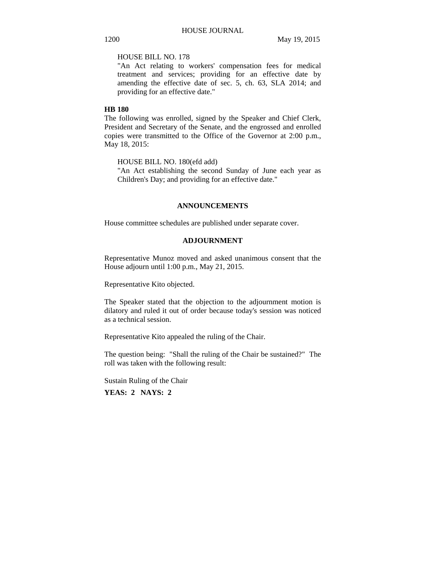### HOUSE BILL NO. 178

"An Act relating to workers' compensation fees for medical treatment and services; providing for an effective date by amending the effective date of sec. 5, ch. 63, SLA 2014; and providing for an effective date."

### **HB 180**

The following was enrolled, signed by the Speaker and Chief Clerk, President and Secretary of the Senate, and the engrossed and enrolled copies were transmitted to the Office of the Governor at 2:00 p.m., May 18, 2015:

HOUSE BILL NO. 180(efd add)

"An Act establishing the second Sunday of June each year as Children's Day; and providing for an effective date."

### **ANNOUNCEMENTS**

House committee schedules are published under separate cover.

## **ADJOURNMENT**

Representative Munoz moved and asked unanimous consent that the House adjourn until 1:00 p.m., May 21, 2015.

Representative Kito objected.

The Speaker stated that the objection to the adjournment motion is dilatory and ruled it out of order because today's session was noticed as a technical session.

Representative Kito appealed the ruling of the Chair.

The question being: "Shall the ruling of the Chair be sustained?" The roll was taken with the following result:

Sustain Ruling of the Chair **YEAS: 2 NAYS: 2**